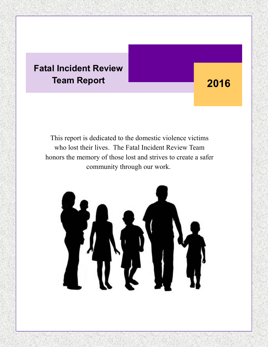### **Fatal Incident Review Team Report**

## **2016**

This report is dedicated to the domestic violence victims who lost their lives. The Fatal Incident Review Team honors the memory of those lost and strives to create a safer community through our work.

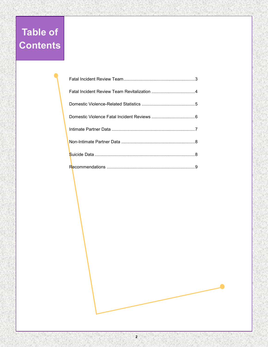## **Table of Contents**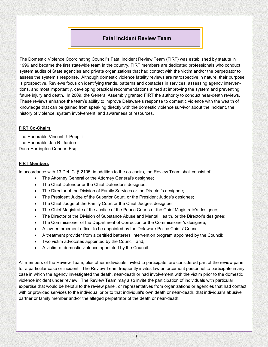#### **Fatal Incident Review Team**

The Domestic Violence Coordinating Council's Fatal Incident Review Team (FIRT) was established by statute in 1996 and became the first statewide team in the country. FIRT members are dedicated professionals who conduct system audits of State agencies and private organizations that had contact with the victim and/or the perpetrator to assess the system's response. Although domestic violence fatality reviews are retrospective in nature, their purpose is prospective. Reviews focus on identifying trends, patterns and obstacles in services, assessing agency interventions, and most importantly, developing practical recommendations aimed at improving the system and preventing future injury and death. In 2009, the General Assembly granted FIRT the authority to conduct near-death reviews. These reviews enhance the team's ability to improve Delaware's response to domestic violence with the wealth of knowledge that can be gained from speaking directly with the domestic violence survivor about the incident, the history of violence, system involvement, and awareness of resources.

#### **FIRT Co-Chairs**

The Honorable Vincent J. Poppiti The Honorable Jan R. Jurden Dana Harrington Conner, Esq.

#### **FIRT Members**

In accordance with 13 Del. C. § 2105, in addition to the co-chairs, the Review Team shall consist of :

- The Attorney General or the Attorney General's designee;
- The Chief Defender or the Chief Defender's designee;
- The Director of the Division of Family Services or the Director's designee;
- The President Judge of the Superior Court, or the President Judge's designee;
- The Chief Judge of the Family Court or the Chief Judge's designee;
- The Chief Magistrate of the Justice of the Peace Courts or the Chief Magistrate's designee;
- The Director of the Division of Substance Abuse and Mental Health, or the Director's designee;
- The Commissioner of the Department of Correction or the Commissioner's designee;
- A law-enforcement officer to be appointed by the Delaware Police Chiefs' Council;
- A treatment provider from a certified batterers' intervention program appointed by the Council;
- Two victim advocates appointed by the Council; and,
- A victim of domestic violence appointed by the Council.

All members of the Review Team, plus other individuals invited to participate, are considered part of the review panel for a particular case or incident. The Review Team frequently invites law enforcement personnel to participate in any case in which the agency investigated the death, near-death or had involvement with the victim prior to the domestic violence incident under review. The Review Team may also invite the participation of individuals with particular expertise that would be helpful to the review panel, or representatives from organizations or agencies that had contact with or provided services to the individual prior to that individual's own death or near-death, that individual's abusive partner or family member and/or the alleged perpetrator of the death or near-death.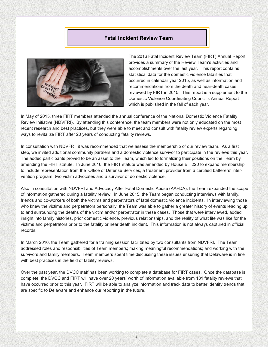#### **Fatal Incident Review Team**



The 2016 Fatal Incident Review Team (FIRT) Annual Report provides a summary of the Review Team's activities and accomplishments over the last year. This report contains statistical data for the domestic violence fatalities that occurred in calendar year 2015, as well as information and recommendations from the death and near-death cases reviewed by FIRT in 2015. This report is a supplement to the Domestic Violence Coordinating Council's Annual Report which is published in the fall of each year.

In May of 2015, three FIRT members attended the annual conference of the National Domestic Violence Fatality Review Initiative (NDVFRI). By attending this conference, the team members were not only educated on the most recent research and best practices, but they were able to meet and consult with fatality review experts regarding ways to revitalize FIRT after 20 years of conducting fatality reviews.

In consultation with NDVFRI, it was recommended that we assess the membership of our review team. As a first step, we invited additional community partners and a domestic violence survivor to participate in the reviews this year. The added participants proved to be an asset to the Team, which led to formalizing their positions on the Team by amending the FIRT statute. In June 2016, the FIRT statute was amended by House Bill 220 to expand membership to include representation from the Office of Defense Services, a treatment provider from a certified batterers' intervention program, two victim advocates and a survivor of domestic violence.

Also in consultation with NDVFRI and Advocacy After Fatal Domestic Abuse (AAFDA), the Team expanded the scope of information gathered during a fatality review. In June 2015, the Team began conducting interviews with family, friends and co-workers of both the victims and perpetrators of fatal domestic violence incidents. In interviewing those who knew the victims and perpetrators personally, the Team was able to gather a greater history of events leading up to and surrounding the deaths of the victim and/or perpetrator in these cases. Those that were interviewed, added insight into family histories, prior domestic violence, previous relationships, and the reality of what life was like for the victims and perpetrators prior to the fatality or near death incident. This information is not always captured in official records.

In March 2016, the Team gathered for a training session facilitated by two consultants from NDVFRI. The Team addressed roles and responsibilities of Team members; making meaningful recommendations; and working with the survivors and family members. Team members spent time discussing these issues ensuring that Delaware is in line with best practices in the field of fatality reviews.

Over the past year, the DVCC staff has been working to complete a database for FIRT cases. Once the database is complete, the DVCC and FIRT will have over 20 years' worth of information available from 131 fatality reviews that have occurred prior to this year. FIRT will be able to analyze information and track data to better identify trends that are specific to Delaware and enhance our reporting in the future.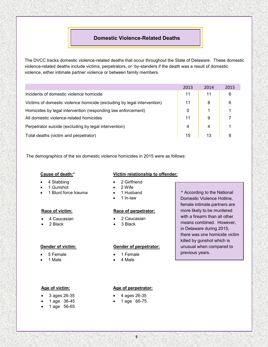#### **Domestic Violence-Related Deaths**

The DVCC tracks domestic violence-related deaths that occur throughout the State of Delaware. These domestic violence-related deaths include victims, perpetrators, or by-standers if the death was a result of domestic violence, either intimate partner violence or between family members.

|                                                                         | 2013 | 2014 | 2015 |
|-------------------------------------------------------------------------|------|------|------|
| Incidents of domestic violence homicide                                 | 11   | 11   | 6    |
| Victims of domestic violence homicide (excluding by legal intervention) | 11   | 8    | 6    |
| Homicides by legal intervention (responding law enforcement)            | 0    |      |      |
| All domestic violence-related homicides                                 | 11   | 9    |      |
| Perpetrator suicide (excluding by legal intervention)                   | 4    | 4    |      |
| Total deaths (victim and perpetrator)                                   | 15   | 13   | 8    |

The demographics of the six domestic violence homicides in 2015 were as follows:

#### **Cause of death:\***

- 4 Stabbing
- 1 Gunshot
- 1 Blunt force trauma

#### **Race of victim:**

- 4 Caucasian
- 2 Black

#### **Gender of victim:**

- 5 Female
- 1 Male

#### **Age of victim:**

- 3 ages 26-35
- 1 age 36-45
- 1 age 56-65

#### **Victim relationship to offender:**

- 2 Girlfriend
- 2 Wife
- 1 Husband
- 1 In-law

#### **Race of perpetrator:**

- 2 Caucasian
- 3 Black

#### **Gender of perpetrator:**

- 1 Female
- 4 Male

According to the National **\*** Domestic Violence Hotline, female intimate partners are more likely to be murdered with a firearm than all other means combined. However, in Delaware during 2015, there was one homicide victim killed by gunshot which is unusual when compared to previous years.

#### **Age of perpetrator:**

- 4 ages 26-35
- 1 age 66-75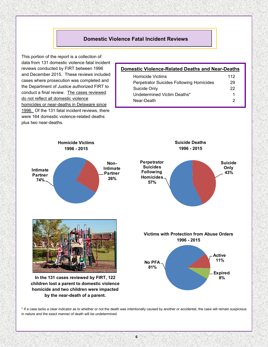#### **Domestic Violence Fatal Incident Reviews**

This portion of the report is a collection of data from 131 domestic violence fatal incident reviews conducted by FIRT between 1996 and December 2015. These reviews included cases where prosecution was completed and the Department of Justice authorized FIRT to conduct a final review. The cases reviewed do not reflect all domestic violence homicides or near-deaths in Delaware since 1996. Of the 131 fatal incident reviews, there were 164 domestic violence-related deaths plus two near-deaths.

#### **Domestic Violence-Related Deaths and Near-Deaths**

| <b>Homicide Victims</b>                         | 112 |
|-------------------------------------------------|-----|
| <b>Perpetrator Suicides Following Homicides</b> | 29  |
| Suicide Only                                    | 22  |
| Undetermined Victim Deaths*                     | 1   |
| Near-Death                                      | 2   |



\* If a case lacks a clear indicator as to whether or not the death was intentionally caused by another or accidental, the case will remain suspicious in nature and the exact manner of death will be undetermined.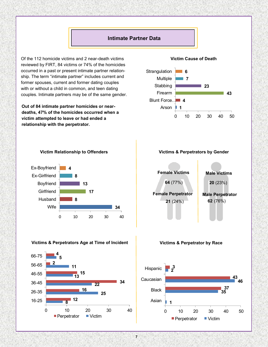#### **Intimate Partner Data**

Of the 112 homicide victims and 2 near-death victims reviewed by FIRT, 84 victims or 74% of the homicides occurred in a past or present intimate partner relationship. The term "intimate partner" includes current and former spouses, current and former dating couples with or without a child in common, and teen dating couples. Intimate partners may be of the same gender.

**Out of 84 intimate partner homicides or neardeaths, 47% of the homicides occurred when a victim attempted to leave or had ended a relationship with the perpetrator.**

#### **Victim Cause of Death**





**Victims & Perpetrators Age at Time of Incident**

**4**

.

#### **Victims & Perpetrators by Gender**



#### **Victims & Perpetrator by Race**



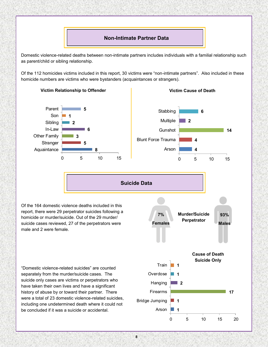

Domestic violence-related deaths between non-intimate partners includes individuals with a familial relationship such as parent/child or sibling relationship.

Of the 112 homicides victims included in this report, 30 victims were "non-intimate partners". Also included in these homicide numbers are victims who were bystanders (acquaintances or strangers).



history of abuse by or toward their partner. There were a total of 23 domestic violence-related suicides, including one undetermined death where it could not be concluded if it was a suicide or accidental. **1**

**Victim Relationship to Offender**



Arson

Firearms

Bridge Jumping

**1**

**17**

**Victim Cause of Death**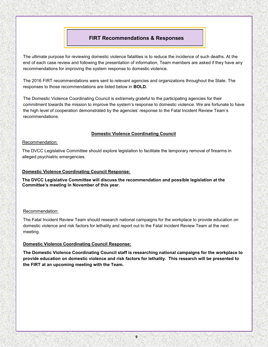#### **FIRT Recommendations & Responses**

The ultimate purpose for reviewing domestic violence fatalities is to reduce the incidence of such deaths. At the end of each case review and following the presentation of information, Team members are asked if they have any recommendations for improving the system response to domestic violence.

The 2016 FIRT recommendations were sent to relevant agencies and organizations throughout the State. The responses to those recommendations are listed below in **BOLD.**

The Domestic Violence Coordinating Council is extremely grateful to the participating agencies for their commitment towards the mission to improve the system's response to domestic violence. We are fortunate to have the high level of cooperation demonstrated by the agencies' response to the Fatal Incident Review Team's recommendations.

#### **Domestic Violence Coordinating Council**

#### Recommendation:

The DVCC Legislative Committee should explore legislation to facilitate the temporary removal of firearms in alleged psychiatric emergencies.

#### **Domestic Violence Coordinating Council Response:**

**The DVCC Legislative Committee will discuss the recommendation and possible legislation at the Committee's meeting in November of this year.**

#### Recommendation:

The Fatal Incident Review Team should research national campaigns for the workplace to provide education on domestic violence and risk factors for lethality and report out to the Fatal Incident Review Team at the next meeting.

#### **Domestic Violence Coordinating Council Response:**

**The Domestic Violence Coordinating Council staff is researching national campaigns for the workplace to provide education on domestic violence and risk factors for lethality. This research will be presented to the FIRT at an upcoming meeting with the Team.**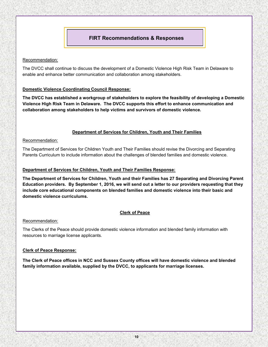#### **FIRT Recommendations & Responses**

#### Recommendation:

The DVCC shall continue to discuss the development of a Domestic Violence High Risk Team in Delaware to enable and enhance better communication and collaboration among stakeholders.

#### **Domestic Violence Coordinating Council Response:**

**The DVCC has established a workgroup of stakeholders to explore the feasibility of developing a Domestic Violence High Risk Team in Delaware. The DVCC supports this effort to enhance communication and collaboration among stakeholders to help victims and survivors of domestic violence.** 

#### **Department of Services for Children, Youth and Their Families**

#### Recommendation:

The Department of Services for Children Youth and Their Families should revise the Divorcing and Separating Parents Curriculum to include information about the challenges of blended families and domestic violence.

#### **Department of Services for Children, Youth and Their Families Response:**

**The Department of Services for Children, Youth and their Families has 27 Separating and Divorcing Parent Education providers. By September 1, 2016, we will send out a letter to our providers requesting that they include core educational components on blended families and domestic violence into their basic and domestic violence curriculums.**

#### **Clerk of Peace**

#### Recommendation:

The Clerks of the Peace should provide domestic violence information and blended family information with resources to marriage license applicants.

#### **Clerk of Peace Response:**

**The Clerk of Peace offices in NCC and Sussex County offices will have domestic violence and blended family information available, supplied by the DVCC, to applicants for marriage licenses.**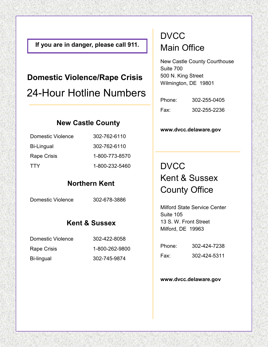**If you are in danger, please call 911.**

## **Domestic Violence/Rape Crisis** 24-Hour Hotline Numbers

### **New Castle County**

| Domestic Violence | 302-762-6110   |
|-------------------|----------------|
| Bi-Lingual        | 302-762-6110   |
| Rape Crisis       | 1-800-773-8570 |
| <b>TTY</b>        | 1-800-232-5460 |

### **Northern Kent**

Domestic Violence 302-678-3886

### **Kent & Sussex**

| Domestic Violence | 302-422-8058   |
|-------------------|----------------|
| Rape Crisis       | 1-800-262-9800 |
| Bi-lingual        | 302-745-9874   |

### **DVCC** Main Office

New Castle County Courthouse Suite 700 500 N. King Street Wilmington, DE 19801

| Phone: | 302-255-0405 |
|--------|--------------|
| Fax:   | 302-255-2236 |

#### **www.dvcc.delaware.gov**

### **DVCC** Kent & Sussex County Office

Milford State Service Center Suite 105 13 S. W. Front Street Milford, DE 19963

| Phone: | 302-424-7238 |
|--------|--------------|
| Fax:   | 302-424-5311 |

#### **www.dvcc.delaware.gov**